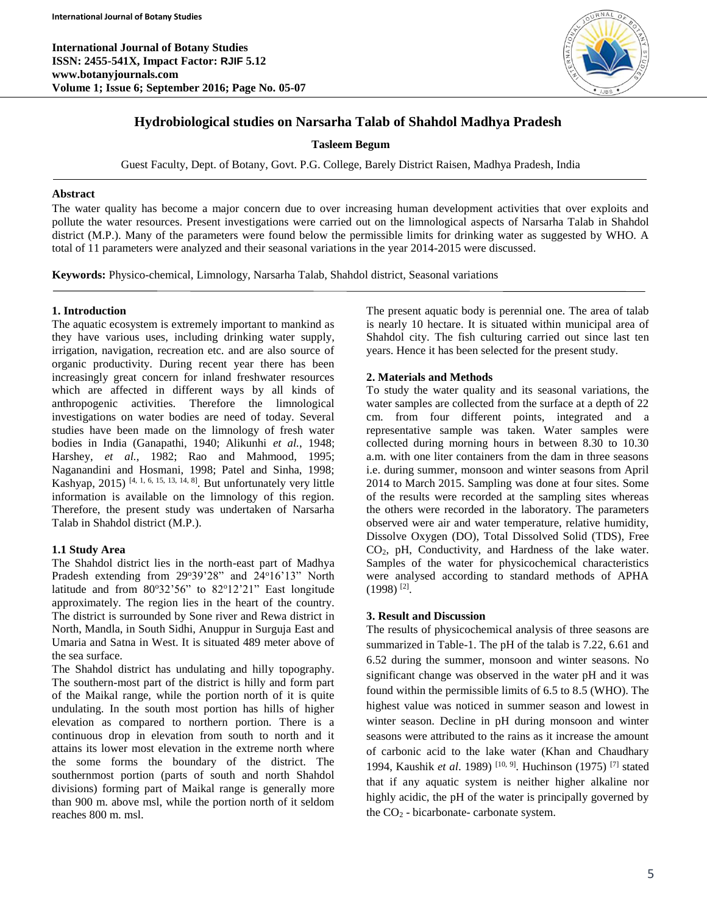**International Journal of Botany Studies ISSN: 2455-541X, Impact Factor: RJIF 5.12 www.botanyjournals.com Volume 1; Issue 6; September 2016; Page No. 05-07**



# **Hydrobiological studies on Narsarha Talab of Shahdol Madhya Pradesh**

**Tasleem Begum**

Guest Faculty, Dept. of Botany, Govt. P.G. College, Barely District Raisen, Madhya Pradesh, India

### **Abstract**

The water quality has become a major concern due to over increasing human development activities that over exploits and pollute the water resources. Present investigations were carried out on the limnological aspects of Narsarha Talab in Shahdol district (M.P.). Many of the parameters were found below the permissible limits for drinking water as suggested by WHO. A total of 11 parameters were analyzed and their seasonal variations in the year 2014-2015 were discussed.

**Keywords:** Physico-chemical, Limnology, Narsarha Talab, Shahdol district, Seasonal variations

# **1. Introduction**

The aquatic ecosystem is extremely important to mankind as they have various uses, including drinking water supply, irrigation, navigation, recreation etc. and are also source of organic productivity. During recent year there has been increasingly great concern for inland freshwater resources which are affected in different ways by all kinds of anthropogenic activities. Therefore the limnological investigations on water bodies are need of today. Several studies have been made on the limnology of fresh water bodies in India (Ganapathi, 1940; Alikunhi *et al.*, 1948; Harshey, *et al.*, 1982; Rao and Mahmood, 1995; Naganandini and Hosmani, 1998; Patel and Sinha, 1998; Kashyap, 2015)<sup>[4, 1, 6, 15, 13, 14, 8]</sup>. But unfortunately very little information is available on the limnology of this region. Therefore, the present study was undertaken of Narsarha Talab in Shahdol district (M.P.).

# **1.1 Study Area**

The Shahdol district lies in the north-east part of Madhya Pradesh extending from 29°39'28" and 24°16'13" North latitude and from  $80°32'56"$  to  $82°12'21"$  East longitude approximately. The region lies in the heart of the country. The district is surrounded by Sone river and Rewa district in North, Mandla, in South Sidhi, Anuppur in Surguja East and Umaria and Satna in West. It is situated 489 meter above of the sea surface.

The Shahdol district has undulating and hilly topography. The southern-most part of the district is hilly and form part of the Maikal range, while the portion north of it is quite undulating. In the south most portion has hills of higher elevation as compared to northern portion. There is a continuous drop in elevation from south to north and it attains its lower most elevation in the extreme north where the some forms the boundary of the district. The southernmost portion (parts of south and north Shahdol divisions) forming part of Maikal range is generally more than 900 m. above msl, while the portion north of it seldom reaches 800 m. msl.

The present aquatic body is perennial one. The area of talab is nearly 10 hectare. It is situated within municipal area of Shahdol city. The fish culturing carried out since last ten years. Hence it has been selected for the present study.

# **2. Materials and Methods**

To study the water quality and its seasonal variations, the water samples are collected from the surface at a depth of 22 cm. from four different points, integrated and a representative sample was taken. Water samples were collected during morning hours in between 8.30 to 10.30 a.m. with one liter containers from the dam in three seasons i.e. during summer, monsoon and winter seasons from April 2014 to March 2015. Sampling was done at four sites. Some of the results were recorded at the sampling sites whereas the others were recorded in the laboratory. The parameters observed were air and water temperature, relative humidity, Dissolve Oxygen (DO), Total Dissolved Solid (TDS), Free CO2, pH, Conductivity, and Hardness of the lake water. Samples of the water for physicochemical characteristics were analysed according to standard methods of APHA  $(1998)$ <sup>[2]</sup>.

# **3. Result and Discussion**

The results of physicochemical analysis of three seasons are summarized in Table-1. The pH of the talab is 7.22, 6.61 and 6.52 during the summer, monsoon and winter seasons. No significant change was observed in the water pH and it was found within the permissible limits of 6.5 to 8.5 (WHO). The highest value was noticed in summer season and lowest in winter season. Decline in pH during monsoon and winter seasons were attributed to the rains as it increase the amount of carbonic acid to the lake water (Khan and Chaudhary 1994, Kaushik *et al*. 1989) [10, 9]. Huchinson (1975) [7] stated that if any aquatic system is neither higher alkaline nor highly acidic, the pH of the water is principally governed by the  $CO<sub>2</sub>$  - bicarbonate- carbonate system.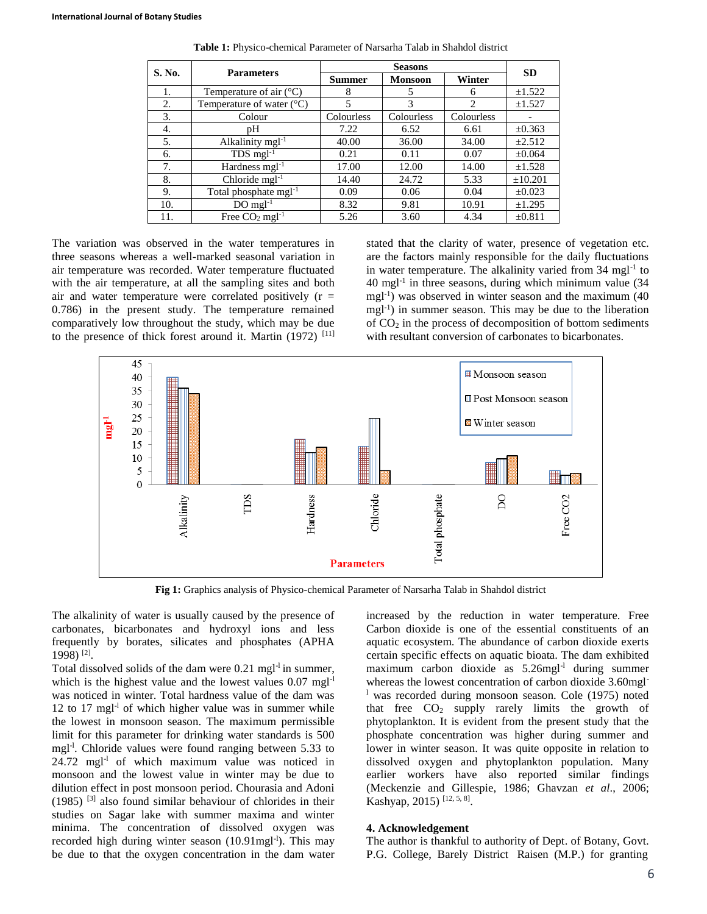| S. No. | <b>Parameters</b>                  | <b>Seasons</b> |                |                | <b>SD</b>   |
|--------|------------------------------------|----------------|----------------|----------------|-------------|
|        |                                    | <b>Summer</b>  | <b>Monsoon</b> | Winter         |             |
| 1.     | Temperature of air $(^{\circ}C)$   | 8              |                | 6              | $\pm 1.522$ |
| 2.     | Temperature of water $(^{\circ}C)$ | 5              | 3              | $\mathfrak{D}$ | $\pm 1.527$ |
| 3.     | Colour                             | Colourless     | Colourless     | Colourless     |             |
| 4.     | pΗ                                 | 7.22           | 6.52           | 6.61           | $\pm 0.363$ |
| 5.     | Alkalinity $mgl-1$                 | 40.00          | 36.00          | 34.00          | $\pm 2.512$ |
| 6.     | $TDS$ mgl <sup>-1</sup>            | 0.21           | 0.11           | 0.07           | $\pm 0.064$ |
| 7.     | Hardness mgl <sup>-1</sup>         | 17.00          | 12.00          | 14.00          | $\pm 1.528$ |
| 8.     | Chloride $mgl-1$                   | 14.40          | 24.72          | 5.33           | ±10.201     |
| 9.     | Total phosphate mgl <sup>-1</sup>  | 0.09           | 0.06           | 0.04           | $\pm 0.023$ |
| 10.    | $DO$ mgl <sup>-1</sup>             | 8.32           | 9.81           | 10.91          | ±1.295      |
| 11.    | Free $CO2$ mgl <sup>-1</sup>       | 5.26           | 3.60           | 4.34           | ±0.811      |

**Table 1:** Physico-chemical Parameter of Narsarha Talab in Shahdol district

The variation was observed in the water temperatures in three seasons whereas a well-marked seasonal variation in air temperature was recorded. Water temperature fluctuated with the air temperature, at all the sampling sites and both air and water temperature were correlated positively  $(r =$ 0.786) in the present study. The temperature remained comparatively low throughout the study, which may be due to the presence of thick forest around it. Martin  $(1972)$ <sup>[11]</sup> stated that the clarity of water, presence of vegetation etc. are the factors mainly responsible for the daily fluctuations in water temperature. The alkalinity varied from 34 mgl<sup>-1</sup> to 40 mgl-1 in three seasons, during which minimum value (34 mgl-1 ) was observed in winter season and the maximum (40 mgl<sup>-1</sup>) in summer season. This may be due to the liberation of  $CO<sub>2</sub>$  in the process of decomposition of bottom sediments with resultant conversion of carbonates to bicarbonates.



**Fig 1:** Graphics analysis of Physico-chemical Parameter of Narsarha Talab in Shahdol district

The alkalinity of water is usually caused by the presence of carbonates, bicarbonates and hydroxyl ions and less frequently by borates, silicates and phosphates (APHA 1998) [2] .

Total dissolved solids of the dam were 0.21 mgl<sup>-1</sup> in summer, which is the highest value and the lowest values  $0.07 \text{ mgl}^{-1}$ was noticed in winter. Total hardness value of the dam was 12 to 17 mgl<sup>-1</sup> of which higher value was in summer while the lowest in monsoon season. The maximum permissible limit for this parameter for drinking water standards is 500 mgl<sup>-1</sup>. Chloride values were found ranging between 5.33 to  $24.72$  mgl<sup>-1</sup> of which maximum value was noticed in monsoon and the lowest value in winter may be due to dilution effect in post monsoon period. Chourasia and Adoni  $(1985)$  <sup>[3]</sup> also found similar behaviour of chlorides in their studies on Sagar lake with summer maxima and winter minima. The concentration of dissolved oxygen was recorded high during winter season  $(10.91 \text{mg1}^{-1})$ . This may be due to that the oxygen concentration in the dam water

increased by the reduction in water temperature. Free Carbon dioxide is one of the essential constituents of an aquatic ecosystem. The abundance of carbon dioxide exerts certain specific effects on aquatic bioata. The dam exhibited maximum carbon dioxide as 5.26mgl<sup>-1</sup> during summer whereas the lowest concentration of carbon dioxide 3.60mgl<sup>-</sup> <sup>1</sup> was recorded during monsoon season. Cole (1975) noted that free  $CO<sub>2</sub>$  supply rarely limits the growth of phytoplankton. It is evident from the present study that the phosphate concentration was higher during summer and lower in winter season. It was quite opposite in relation to dissolved oxygen and phytoplankton population. Many earlier workers have also reported similar findings (Meckenzie and Gillespie, 1986; Ghavzan *et al*., 2006; Kashyap, 2015)<sup>[12, 5, 8]</sup>.

#### **4. Acknowledgement**

The author is thankful to authority of Dept. of Botany, Govt. P.G. College, Barely District Raisen (M.P.) for granting